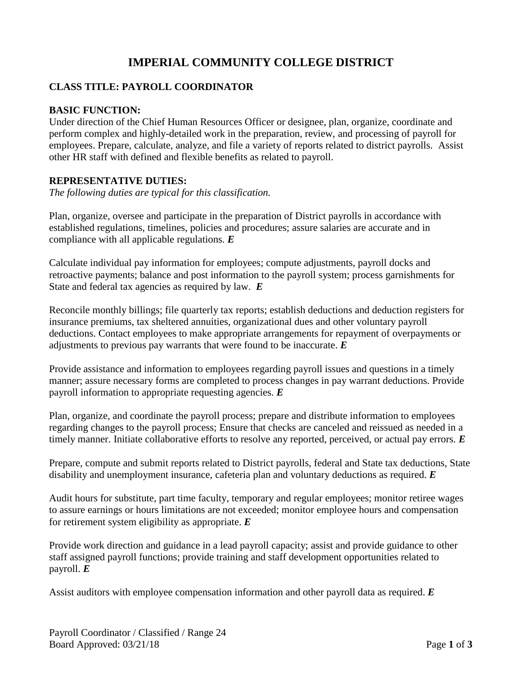# **IMPERIAL COMMUNITY COLLEGE DISTRICT**

## **CLASS TITLE: PAYROLL COORDINATOR**

#### **BASIC FUNCTION:**

Under direction of the Chief Human Resources Officer or designee, plan, organize, coordinate and perform complex and highly-detailed work in the preparation, review, and processing of payroll for employees. Prepare, calculate, analyze, and file a variety of reports related to district payrolls. Assist other HR staff with defined and flexible benefits as related to payroll.

#### **REPRESENTATIVE DUTIES:**

*The following duties are typical for this classification.*

Plan, organize, oversee and participate in the preparation of District payrolls in accordance with established regulations, timelines, policies and procedures; assure salaries are accurate and in compliance with all applicable regulations. *E*

Calculate individual pay information for employees; compute adjustments, payroll docks and retroactive payments; balance and post information to the payroll system; process garnishments for State and federal tax agencies as required by law. *E*

Reconcile monthly billings; file quarterly tax reports; establish deductions and deduction registers for insurance premiums, tax sheltered annuities, organizational dues and other voluntary payroll deductions. Contact employees to make appropriate arrangements for repayment of overpayments or adjustments to previous pay warrants that were found to be inaccurate. *E*

Provide assistance and information to employees regarding payroll issues and questions in a timely manner; assure necessary forms are completed to process changes in pay warrant deductions. Provide payroll information to appropriate requesting agencies. *E*

Plan, organize, and coordinate the payroll process; prepare and distribute information to employees regarding changes to the payroll process; Ensure that checks are canceled and reissued as needed in a timely manner. Initiate collaborative efforts to resolve any reported, perceived, or actual pay errors. *E*

Prepare, compute and submit reports related to District payrolls, federal and State tax deductions, State disability and unemployment insurance, cafeteria plan and voluntary deductions as required. *E*

Audit hours for substitute, part time faculty, temporary and regular employees; monitor retiree wages to assure earnings or hours limitations are not exceeded; monitor employee hours and compensation for retirement system eligibility as appropriate. *E*

Provide work direction and guidance in a lead payroll capacity; assist and provide guidance to other staff assigned payroll functions; provide training and staff development opportunities related to payroll. *E*

Assist auditors with employee compensation information and other payroll data as required. *E*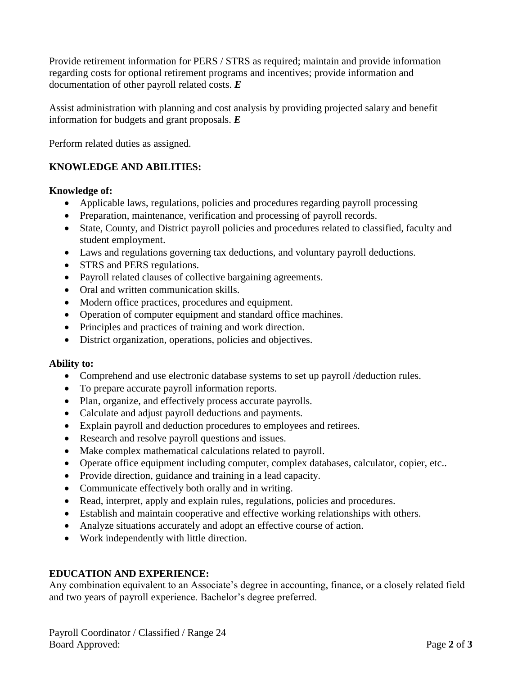Provide retirement information for PERS / STRS as required; maintain and provide information regarding costs for optional retirement programs and incentives; provide information and documentation of other payroll related costs. *E*

Assist administration with planning and cost analysis by providing projected salary and benefit information for budgets and grant proposals. *E*

Perform related duties as assigned.

## **KNOWLEDGE AND ABILITIES:**

#### **Knowledge of:**

- Applicable laws, regulations, policies and procedures regarding payroll processing
- Preparation, maintenance, verification and processing of payroll records.
- State, County, and District payroll policies and procedures related to classified, faculty and student employment.
- Laws and regulations governing tax deductions, and voluntary payroll deductions.
- STRS and PERS regulations.
- Payroll related clauses of collective bargaining agreements.
- Oral and written communication skills.
- Modern office practices, procedures and equipment.
- Operation of computer equipment and standard office machines.
- Principles and practices of training and work direction.
- District organization, operations, policies and objectives.

## **Ability to:**

- Comprehend and use electronic database systems to set up payroll /deduction rules.
- To prepare accurate payroll information reports.
- Plan, organize, and effectively process accurate payrolls.
- Calculate and adjust payroll deductions and payments.
- Explain payroll and deduction procedures to employees and retirees.
- Research and resolve payroll questions and issues.
- Make complex mathematical calculations related to payroll.
- Operate office equipment including computer, complex databases, calculator, copier, etc..
- Provide direction, guidance and training in a lead capacity.
- Communicate effectively both orally and in writing.
- Read, interpret, apply and explain rules, regulations, policies and procedures.
- Establish and maintain cooperative and effective working relationships with others.
- Analyze situations accurately and adopt an effective course of action.
- Work independently with little direction.

## **EDUCATION AND EXPERIENCE:**

Any combination equivalent to an Associate's degree in accounting, finance, or a closely related field and two years of payroll experience. Bachelor's degree preferred.